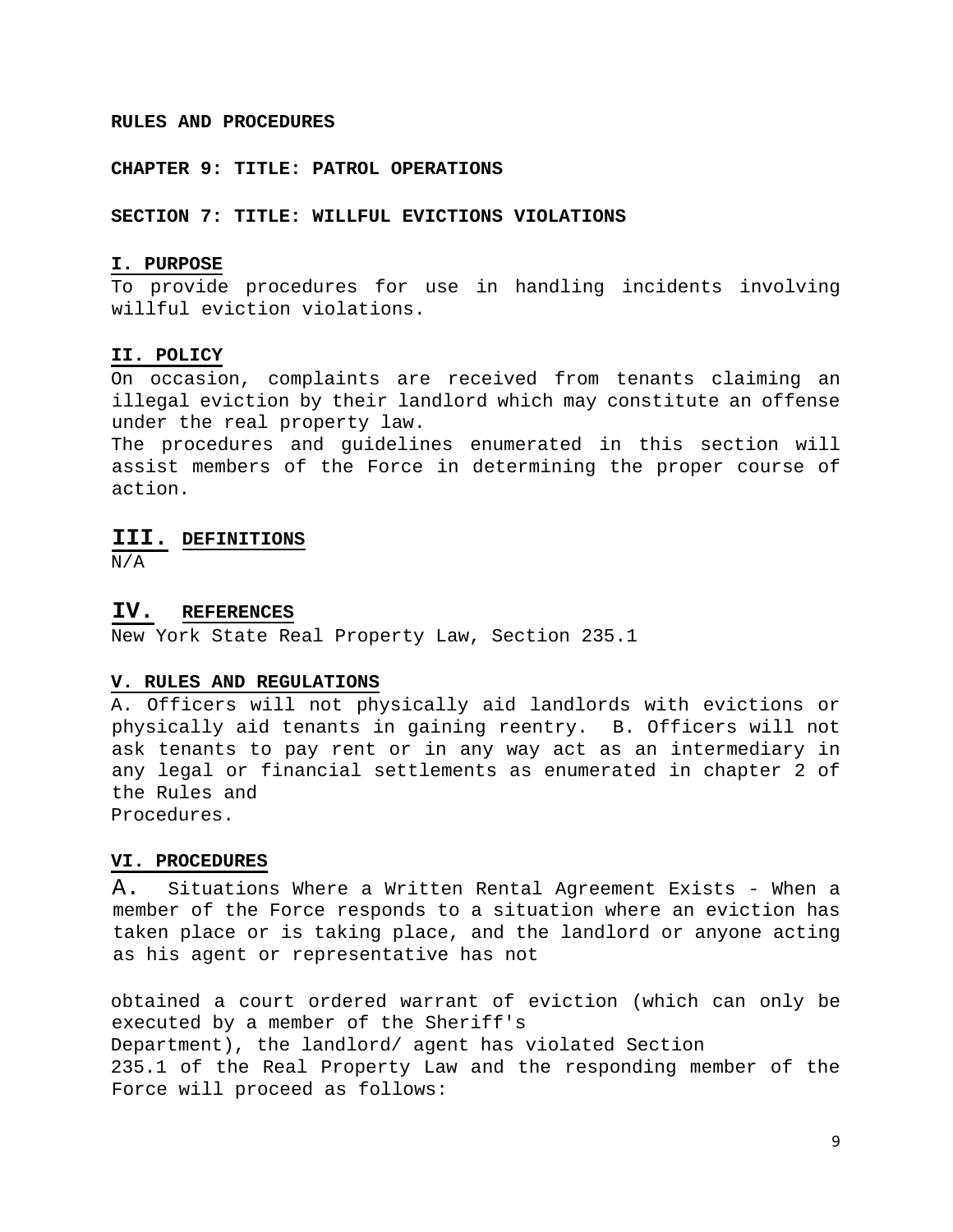#### **RULES AND PROCEDURES**

#### **CHAPTER 9: TITLE: PATROL OPERATIONS**

**SECTION 7: TITLE: WILLFUL EVICTIONS VIOLATIONS** 

#### **I. PURPOSE**

To provide procedures for use in handling incidents involving willful eviction violations.

#### **II. POLICY**

On occasion, complaints are received from tenants claiming an illegal eviction by their landlord which may constitute an offense under the real property law.

The procedures and guidelines enumerated in this section will assist members of the Force in determining the proper course of action.

### **III. DEFINITIONS**

N/A

#### **IV. REFERENCES**

New York State Real Property Law, Section 235.1

#### **V. RULES AND REGULATIONS**

A. Officers will not physically aid landlords with evictions or physically aid tenants in gaining reentry. B. Officers will not ask tenants to pay rent or in any way act as an intermediary in any legal or financial settlements as enumerated in chapter 2 of the Rules and Procedures.

#### **VI. PROCEDURES**

A. Situations Where a Written Rental Agreement Exists - When a member of the Force responds to a situation where an eviction has taken place or is taking place, and the landlord or anyone acting as his agent or representative has not

obtained a court ordered warrant of eviction (which can only be executed by a member of the Sheriff's Department), the landlord/ agent has violated Section 235.1 of the Real Property Law and the responding member of the Force will proceed as follows: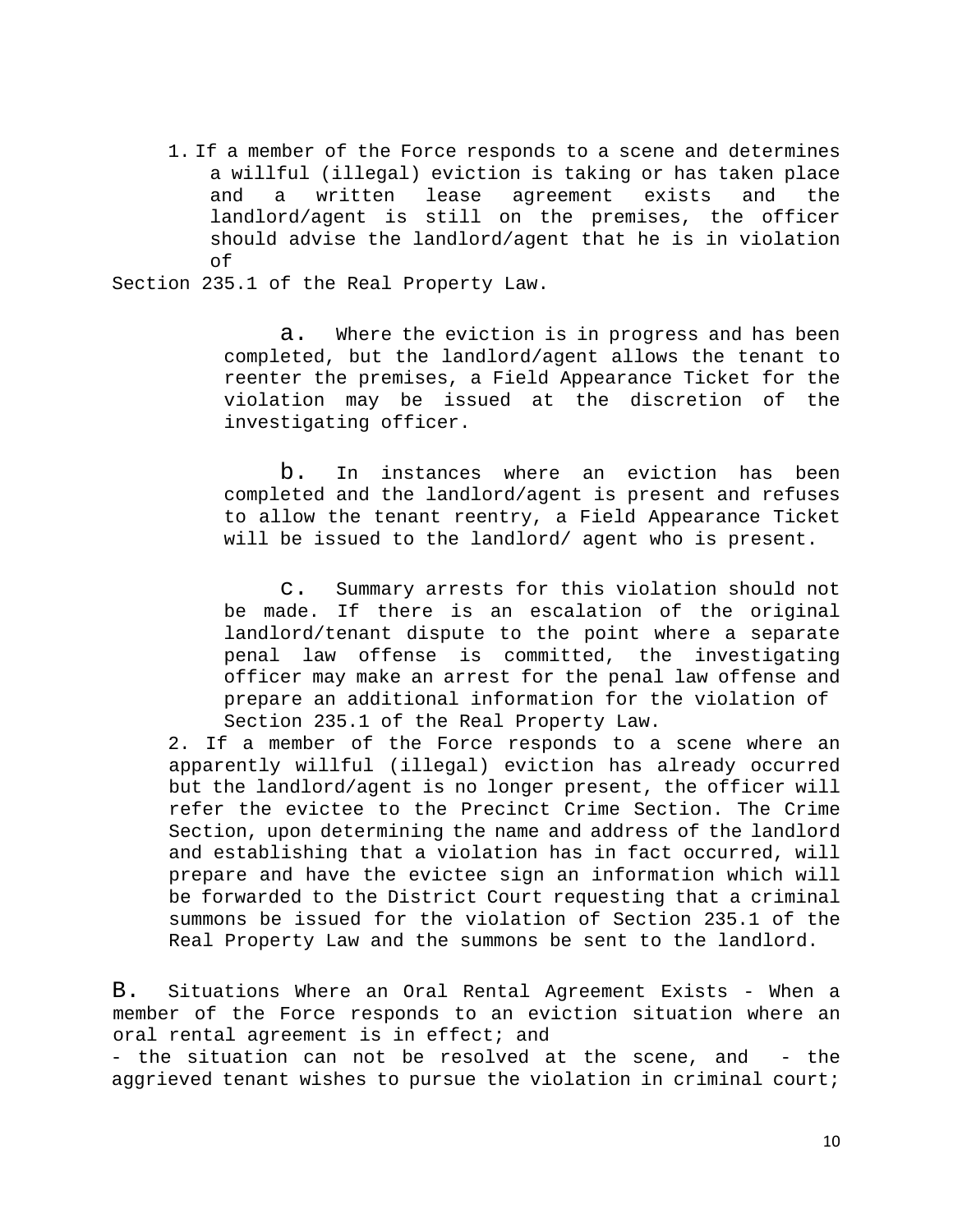1. If a member of the Force responds to a scene and determines a willful (illegal) eviction is taking or has taken place and a written lease agreement exists and the landlord/agent is still on the premises, the officer should advise the landlord/agent that he is in violation of

Section 235.1 of the Real Property Law.

a. Where the eviction is in progress and has been completed, but the landlord/agent allows the tenant to reenter the premises, a Field Appearance Ticket for the violation may be issued at the discretion of the investigating officer.

b. In instances where an eviction has been completed and the landlord/agent is present and refuses to allow the tenant reentry, a Field Appearance Ticket will be issued to the landlord/ agent who is present.

c. Summary arrests for this violation should not be made. If there is an escalation of the original landlord/tenant dispute to the point where a separate penal law offense is committed, the investigating officer may make an arrest for the penal law offense and prepare an additional information for the violation of Section 235.1 of the Real Property Law.

2. If a member of the Force responds to a scene where an apparently willful (illegal) eviction has already occurred but the landlord/agent is no longer present, the officer will refer the evictee to the Precinct Crime Section. The Crime Section, upon determining the name and address of the landlord and establishing that a violation has in fact occurred, will prepare and have the evictee sign an information which will be forwarded to the District Court requesting that a criminal summons be issued for the violation of Section 235.1 of the Real Property Law and the summons be sent to the landlord.

B. Situations Where an Oral Rental Agreement Exists - When a member of the Force responds to an eviction situation where an oral rental agreement is in effect; and

- the situation can not be resolved at the scene, and - the aggrieved tenant wishes to pursue the violation in criminal court;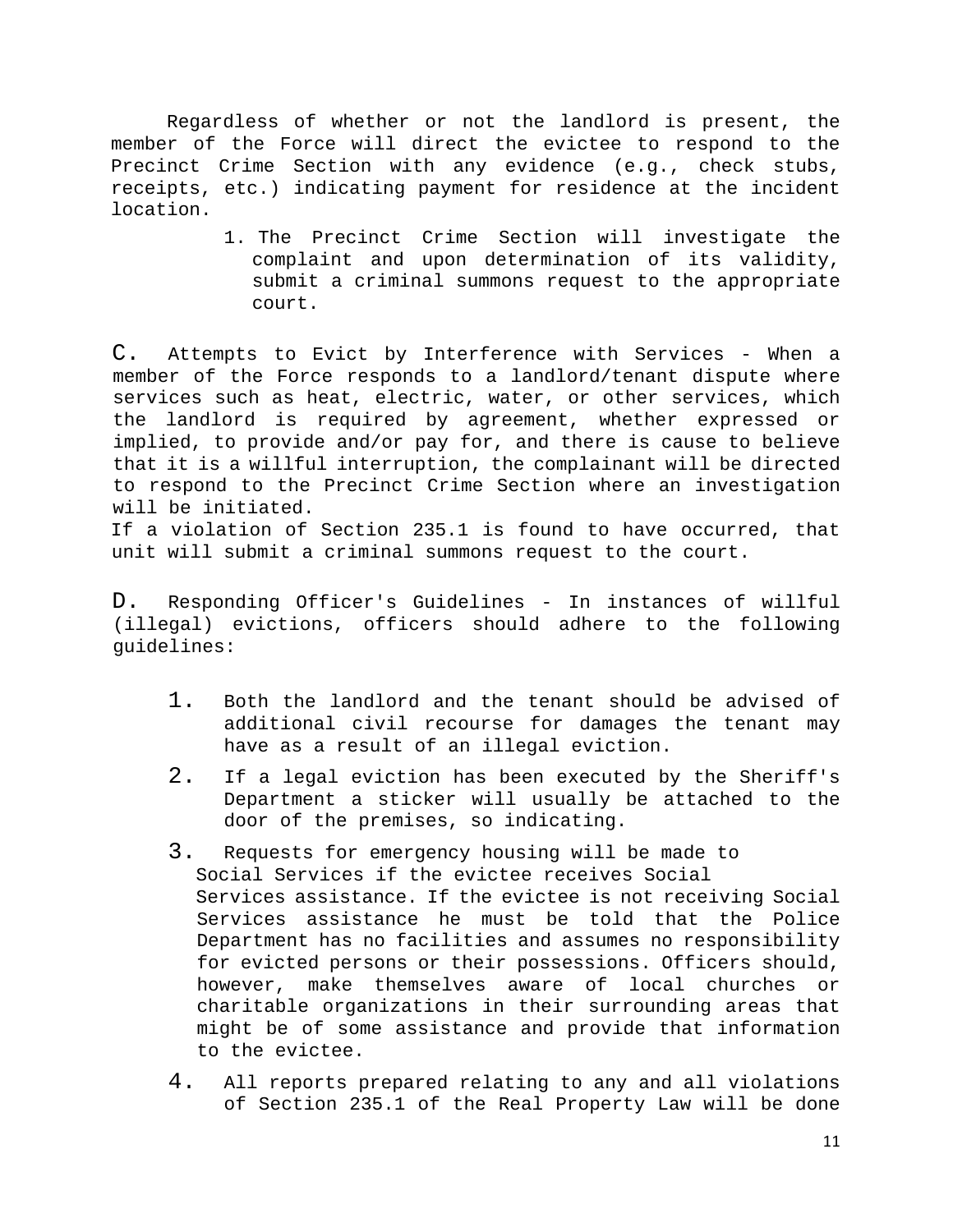Regardless of whether or not the landlord is present, the member of the Force will direct the evictee to respond to the Precinct Crime Section with any evidence (e.g., check stubs, receipts, etc.) indicating payment for residence at the incident location.

> 1. The Precinct Crime Section will investigate the complaint and upon determination of its validity, submit a criminal summons request to the appropriate court.

C. Attempts to Evict by Interference with Services - When a member of the Force responds to a landlord/tenant dispute where services such as heat, electric, water, or other services, which the landlord is required by agreement, whether expressed or implied, to provide and/or pay for, and there is cause to believe that it is a willful interruption, the complainant will be directed to respond to the Precinct Crime Section where an investigation will be initiated.

If a violation of Section 235.1 is found to have occurred, that unit will submit a criminal summons request to the court.

D. Responding Officer's Guidelines - In instances of willful (illegal) evictions, officers should adhere to the following guidelines:

- 1. Both the landlord and the tenant should be advised of additional civil recourse for damages the tenant may have as a result of an illegal eviction.
- 2. If a legal eviction has been executed by the Sheriff's Department a sticker will usually be attached to the door of the premises, so indicating.
- 3. Requests for emergency housing will be made to Social Services if the evictee receives Social Services assistance. If the evictee is not receiving Social Services assistance he must be told that the Police Department has no facilities and assumes no responsibility for evicted persons or their possessions. Officers should, however, make themselves aware of local churches or charitable organizations in their surrounding areas that might be of some assistance and provide that information to the evictee.
- 4. All reports prepared relating to any and all violations of Section 235.1 of the Real Property Law will be done